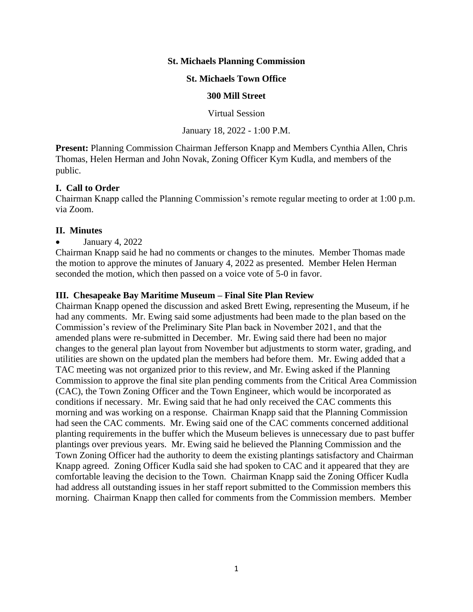### **St. Michaels Planning Commission**

#### **St. Michaels Town Office**

#### **300 Mill Street**

Virtual Session

January 18, 2022 - 1:00 P.M.

**Present:** Planning Commission Chairman Jefferson Knapp and Members Cynthia Allen, Chris Thomas, Helen Herman and John Novak, Zoning Officer Kym Kudla, and members of the public.

### **I. Call to Order**

Chairman Knapp called the Planning Commission's remote regular meeting to order at 1:00 p.m. via Zoom.

### **II. Minutes**

• January 4,  $2022$ 

Chairman Knapp said he had no comments or changes to the minutes. Member Thomas made the motion to approve the minutes of January 4, 2022 as presented. Member Helen Herman seconded the motion, which then passed on a voice vote of 5-0 in favor.

### **III. Chesapeake Bay Maritime Museum – Final Site Plan Review**

Chairman Knapp opened the discussion and asked Brett Ewing, representing the Museum, if he had any comments. Mr. Ewing said some adjustments had been made to the plan based on the Commission's review of the Preliminary Site Plan back in November 2021, and that the amended plans were re-submitted in December. Mr. Ewing said there had been no major changes to the general plan layout from November but adjustments to storm water, grading, and utilities are shown on the updated plan the members had before them. Mr. Ewing added that a TAC meeting was not organized prior to this review, and Mr. Ewing asked if the Planning Commission to approve the final site plan pending comments from the Critical Area Commission (CAC), the Town Zoning Officer and the Town Engineer, which would be incorporated as conditions if necessary. Mr. Ewing said that he had only received the CAC comments this morning and was working on a response. Chairman Knapp said that the Planning Commission had seen the CAC comments. Mr. Ewing said one of the CAC comments concerned additional planting requirements in the buffer which the Museum believes is unnecessary due to past buffer plantings over previous years. Mr. Ewing said he believed the Planning Commission and the Town Zoning Officer had the authority to deem the existing plantings satisfactory and Chairman Knapp agreed. Zoning Officer Kudla said she had spoken to CAC and it appeared that they are comfortable leaving the decision to the Town. Chairman Knapp said the Zoning Officer Kudla had address all outstanding issues in her staff report submitted to the Commission members this morning. Chairman Knapp then called for comments from the Commission members. Member